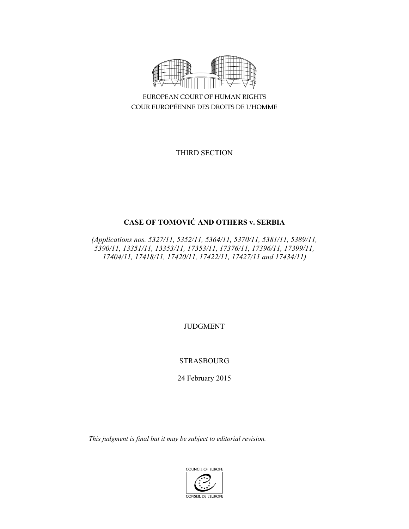

EUROPEAN COURT OF HUMAN RIGHTS COUR EUROPÉENNE DES DROITS DE L'HOMME

THIRD SECTION

# **CASE OF TOMOVIĆ AND OTHERS v. SERBIA**

*(Applications nos. 5327/11, 5352/11, 5364/11, 5370/11, 5381/11, 5389/11, 5390/11, 13351/11, 13353/11, 17353/11, 17376/11, 17396/11, 17399/11, 17404/11, 17418/11, 17420/11, 17422/11, 17427/11 and 17434/11)* 

JUDGMENT

STRASBOURG

24 February 2015

*This judgment is final but it may be subject to editorial revision.*

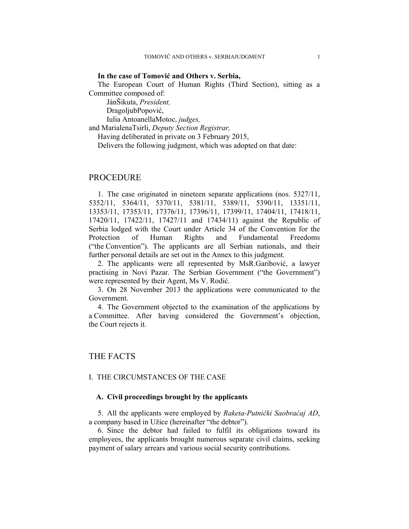#### **In the case of Tomović and Others v. Serbia,**

The European Court of Human Rights (Third Section), sitting as a Committee composed of:

 JánŠikuta, *President,*  DragoljubPopović,

 Iulia AntoanellaMotoc, *judges,* and MarialenaTsirli, *Deputy Section Registrar,* Having deliberated in private on 3 February 2015, Delivers the following judgment, which was adopted on that date:

### PROCEDURE

1. The case originated in nineteen separate applications (nos. 5327/11, 5352/11, 5364/11, 5370/11, 5381/11, 5389/11, 5390/11, 13351/11, 13353/11, 17353/11, 17376/11, 17396/11, 17399/11, 17404/11, 17418/11, 17420/11, 17422/11, 17427/11 and 17434/11) against the Republic of Serbia lodged with the Court under Article 34 of the Convention for the Protection of Human Rights and Fundamental Freedoms ("the Convention"). The applicants are all Serbian nationals, and their further personal details are set out in the Annex to this judgment.

2. The applicants were all represented by MsR.Garibović, a lawyer practising in Novi Pazar. The Serbian Government ("the Government") were represented by their Agent, Ms V. Rodić.

3. On 28 November 2013 the applications were communicated to the Government.

4. The Government objected to the examination of the applications by a Committee. After having considered the Government's objection, the Court rejects it.

### THE FACTS

#### I. THE CIRCUMSTANCES OF THE CASE

### **A. Civil proceedings brought by the applicants**

5. All the applicants were employed by *Raketa-Putnički Saobraćaj AD*, a company based in Užice (hereinafter "the debtor").

6. Since the debtor had failed to fulfil its obligations toward its employees, the applicants brought numerous separate civil claims, seeking payment of salary arrears and various social security contributions.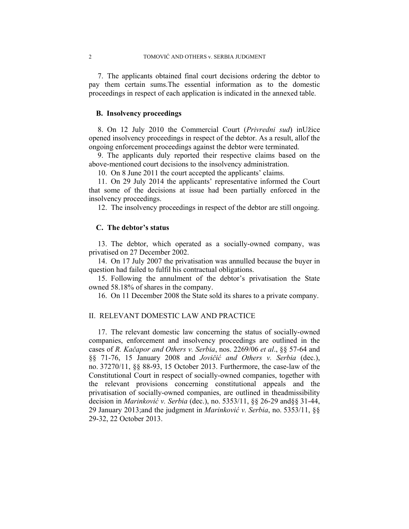7. The applicants obtained final court decisions ordering the debtor to pay them certain sums.The essential information as to the domestic proceedings in respect of each application is indicated in the annexed table.

#### **B. Insolvency proceedings**

8. On 12 July 2010 the Commercial Court (*Privredni sud*) inUžice opened insolvency proceedings in respect of the debtor. As a result, allof the ongoing enforcement proceedings against the debtor were terminated.

9. The applicants duly reported their respective claims based on the above-mentioned court decisions to the insolvency administration.

10. On 8 June 2011 the court accepted the applicants' claims.

11. On 29 July 2014 the applicants' representative informed the Court that some of the decisions at issue had been partially enforced in the insolvency proceedings.

12. The insolvency proceedings in respect of the debtor are still ongoing.

#### **C. The debtor's status**

13. The debtor, which operated as a socially-owned company, was privatised on 27 December 2002.

14. On 17 July 2007 the privatisation was annulled because the buyer in question had failed to fulfil his contractual obligations.

15. Following the annulment of the debtor's privatisation the State owned 58.18% of shares in the company.

16. On 11 December 2008 the State sold its shares to a private company.

### II. RELEVANT DOMESTIC LAW AND PRACTICE

17. The relevant domestic law concerning the status of socially-owned companies, enforcement and insolvency proceedings are outlined in the cases of *R. Kačapor and Others v. Serbia*, nos. 2269/06 *et al*., §§ 57-64 and §§ 71-76, 15 January 2008 and *Jovičić and Others v. Serbia* (dec.), no. 37270/11, §§ 88-93, 15 October 2013. Furthermore, the case-law of the Constitutional Court in respect of socially-owned companies, together with the relevant provisions concerning constitutional appeals and the privatisation of socially-owned companies, are outlined in theadmissibility decision in *Marinković v. Serbia* (dec.), no. 5353/11, §§ 26-29 and§§ 31-44, 29 January 2013;and the judgment in *Marinković v. Serbia*, no. 5353/11, §§ 29-32, 22 October 2013.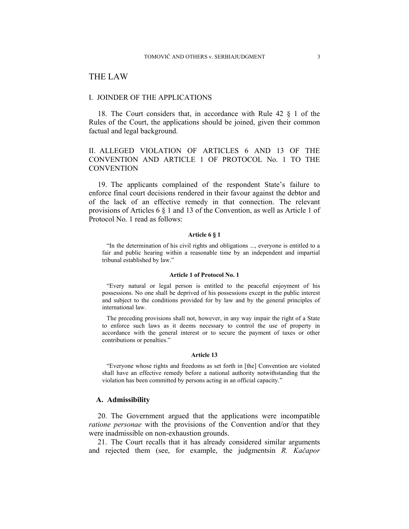## THE LAW

#### I. JOINDER OF THE APPLICATIONS

18. The Court considers that, in accordance with Rule 42 § 1 of the Rules of the Court, the applications should be joined, given their common factual and legal background.

### II. ALLEGED VIOLATION OF ARTICLES 6 AND 13 OF THE CONVENTION AND ARTICLE 1 OF PROTOCOL No. 1 TO THE **CONVENTION**

19. The applicants complained of the respondent State's failure to enforce final court decisions rendered in their favour against the debtor and of the lack of an effective remedy in that connection. The relevant provisions of Articles 6 § 1 and 13 of the Convention, as well as Article 1 of Protocol No. 1 read as follows:

#### **Article 6 § 1**

"In the determination of his civil rights and obligations ..., everyone is entitled to a fair and public hearing within a reasonable time by an independent and impartial tribunal established by law."

#### **Article 1 of Protocol No. 1**

"Every natural or legal person is entitled to the peaceful enjoyment of his possessions. No one shall be deprived of his possessions except in the public interest and subject to the conditions provided for by law and by the general principles of international law.

The preceding provisions shall not, however, in any way impair the right of a State to enforce such laws as it deems necessary to control the use of property in accordance with the general interest or to secure the payment of taxes or other contributions or penalties."

#### **Article 13**

"Everyone whose rights and freedoms as set forth in [the] Convention are violated shall have an effective remedy before a national authority notwithstanding that the violation has been committed by persons acting in an official capacity."

#### **A. Admissibility**

20. The Government argued that the applications were incompatible *ratione personae* with the provisions of the Convention and/or that they were inadmissible on non-exhaustion grounds.

21. The Court recalls that it has already considered similar arguments and rejected them (see, for example, the judgmentsin *R. Kačapor*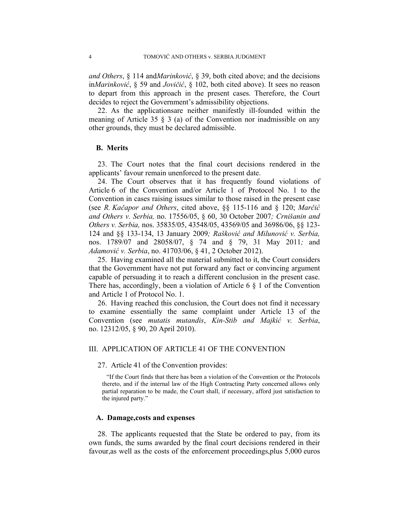*and Others*, § 114 and*Marinković*, § 39, both cited above; and the decisions in*Marinković*, § 59 and *Jovičić*, § 102, both cited above). It sees no reason to depart from this approach in the present cases. Therefore, the Court decides to reject the Government's admissibility objections.

22. As the applicationsare neither manifestly ill-founded within the meaning of Article 35  $\S$  3 (a) of the Convention nor inadmissible on any other grounds, they must be declared admissible.

#### **B. Merits**

23. The Court notes that the final court decisions rendered in the applicants' favour remain unenforced to the present date.

24. The Court observes that it has frequently found violations of Article 6 of the Convention and/or Article 1 of Protocol No. 1 to the Convention in cases raising issues similar to those raised in the present case (see *R. Kačapor and Others*, cited above, §§ 115-116 and § 120; *Marčić and Others v. Serbia,* no. 17556/05, § 60, 30 October 2007*; Crnišanin and Others v. Serbia,* nos. 35835/05, 43548/05, 43569/05 and 36986/06, §§ 123- 124 and §§ 133-134, 13 January 2009*; Rašković and Milunović v. Serbia,*  nos. 1789/07 and 28058/07, § 74 and § 79, 31 May 2011*;* and *Adamović v. Serbia*, no. 41703/06, § 41, 2 October 2012).

25. Having examined all the material submitted to it, the Court considers that the Government have not put forward any fact or convincing argument capable of persuading it to reach a different conclusion in the present case. There has, accordingly, been a violation of Article 6  $\S$  1 of the Convention and Article 1 of Protocol No. 1.

26. Having reached this conclusion, the Court does not find it necessary to examine essentially the same complaint under Article 13 of the Convention (see *mutatis mutandis*, *Kin-Stib and Majkić v. Serbia*, no. 12312/05, § 90, 20 April 2010).

### III. APPLICATION OF ARTICLE 41 OF THE CONVENTION

27. Article 41 of the Convention provides:

"If the Court finds that there has been a violation of the Convention or the Protocols thereto, and if the internal law of the High Contracting Party concerned allows only partial reparation to be made, the Court shall, if necessary, afford just satisfaction to the injured party."

#### **A. Damage,costs and expenses**

28. The applicants requested that the State be ordered to pay, from its own funds, the sums awarded by the final court decisions rendered in their favour,as well as the costs of the enforcement proceedings,plus 5,000 euros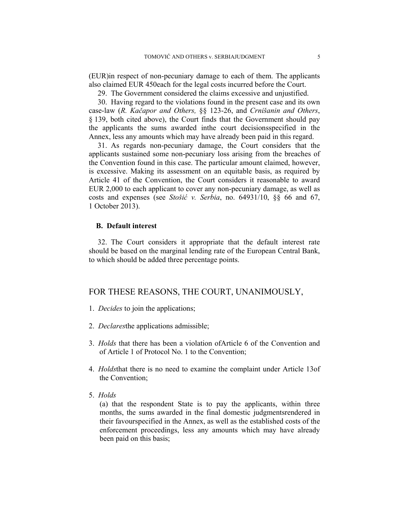(EUR)in respect of non-pecuniary damage to each of them. The applicants also claimed EUR 450each for the legal costs incurred before the Court.

29. The Government considered the claims excessive and unjustified.

30. Having regard to the violations found in the present case and its own case-law (*R. Kačapor and Others,* §§ 123-26, and *Crnišanin and Others*, § 139, both cited above), the Court finds that the Government should pay the applicants the sums awarded inthe court decisionsspecified in the Annex, less any amounts which may have already been paid in this regard.

31. As regards non-pecuniary damage, the Court considers that the applicants sustained some non-pecuniary loss arising from the breaches of the Convention found in this case. The particular amount claimed, however, is excessive. Making its assessment on an equitable basis, as required by Article 41 of the Convention, the Court considers it reasonable to award EUR 2,000 to each applicant to cover any non-pecuniary damage, as well as costs and expenses (see *Stošić v. Serbia*, no. 64931/10, §§ 66 and 67, 1 October 2013).

#### **B. Default interest**

32. The Court considers it appropriate that the default interest rate should be based on the marginal lending rate of the European Central Bank, to which should be added three percentage points.

# FOR THESE REASONS, THE COURT, UNANIMOUSLY,

- 1. *Decides* to join the applications;
- 2. *Declares*the applications admissible;
- 3. *Holds* that there has been a violation ofArticle 6 of the Convention and of Article 1 of Protocol No. 1 to the Convention;
- 4. *Holds*that there is no need to examine the complaint under Article 13of the Convention;
- 5. *Holds*

(a) that the respondent State is to pay the applicants, within three months, the sums awarded in the final domestic judgmentsrendered in their favourspecified in the Annex, as well as the established costs of the enforcement proceedings, less any amounts which may have already been paid on this basis;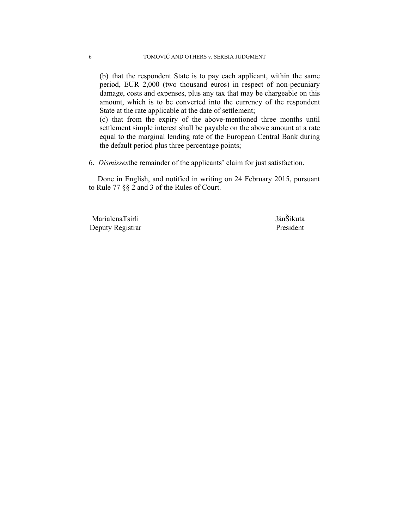(b) that the respondent State is to pay each applicant, within the same period, EUR 2,000 (two thousand euros) in respect of non-pecuniary damage, costs and expenses, plus any tax that may be chargeable on this amount, which is to be converted into the currency of the respondent State at the rate applicable at the date of settlement;

(c) that from the expiry of the above-mentioned three months until settlement simple interest shall be payable on the above amount at a rate equal to the marginal lending rate of the European Central Bank during the default period plus three percentage points;

6. *Dismisses*the remainder of the applicants' claim for just satisfaction.

Done in English, and notified in writing on 24 February 2015, pursuant to Rule 77 §§ 2 and 3 of the Rules of Court.

 MarialenaTsirli JánŠikuta Deputy Registrar President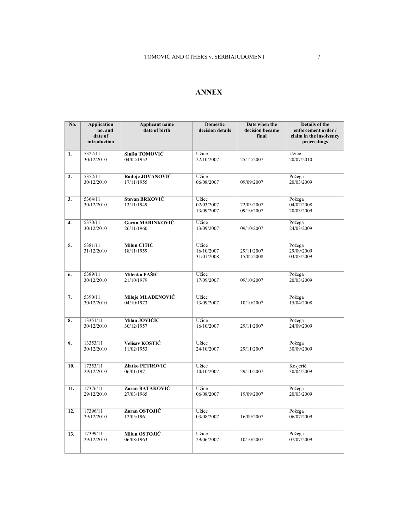### **ANNEX**

| No. | <b>Application</b><br>no. and | <b>Applicant name</b><br>date of birth | <b>Domestic</b><br>decision details | Date when the<br>decision became | Details of the<br>enforcement order /  |
|-----|-------------------------------|----------------------------------------|-------------------------------------|----------------------------------|----------------------------------------|
|     | date of<br>introduction       |                                        |                                     | final                            | claim in the insolvency<br>proceedings |
| 1.  | 5327/11<br>30/12/2010         | Siniša TOMOVIĆ<br>04/02/1952           | Užice<br>22/10/2007                 | 25/12/2007                       | Užice<br>20/07/2010                    |
| 2.  | 5352/11<br>30/12/2010         | Radoje JOVANOVIĆ<br>17/11/1955         | Užice<br>06/08/2007                 | 09/09/2007                       | Požega<br>20/03/2009                   |
| 3.  | 5364/11<br>30/12/2010         | Stevan BRKOVIĆ<br>13/11/1949           | Užice<br>02/03/2007<br>13/09/2007   | 22/03/2007<br>09/10/2007         | Požega<br>04/02/2008<br>20/03/2009     |
| 4.  | 5370/11<br>30/12/2010         | <b>Goran MARINKOVIĆ</b><br>26/11/1960  | Užice<br>13/09/2007                 | 09/10/2007                       | Požega<br>24/03/2009                   |
| 5.  | 5381/11<br>31/12/2010         | Milun ĆITIĆ<br>18/11/1959              | Užice<br>16/10/2007<br>31/01/2008   | 29/11/2007<br>15/02/2008         | Požega<br>29/09/2009<br>03/03/2009     |
| 6.  | 5389/11<br>30/12/2010         | Milenko PAŠIĆ<br>21/10/1979            | Užice<br>17/09/2007                 | 09/10/2007                       | Požega<br>20/03/2009                   |
| 7.  | 5390/11<br>30/12/2010         | Miloje MLAĐENOVIĆ<br>04/10/1973        | Užice<br>13/09/2007                 | 10/10/2007                       | Požega<br>15/04/2008                   |
| 8.  | 13351/11<br>30/12/2010        | Milan JOVIČIĆ<br>30/12/1957            | Užice<br>16/10/2007                 | 29/11/2007                       | Požega<br>24/09/2009                   |
| 9.  | 13353/11<br>30/12/2010        | Velisav KOSTIĆ<br>11/02/1953           | Užice<br>24/10/2007                 | 29/11/2007                       | Požega<br>30/09/2009                   |
| 10. | 17353/11<br>29/12/2010        | Zlatko PETROVIĆ<br>06/01/1971          | Užice<br>10/10/2007                 | 29/11/2007                       | Kosjerić<br>30/04/2009                 |
| 11. | 17376/11<br>29/12/2010        | Zoran BATAKOVIĆ<br>27/03/1965          | Užice<br>06/08/2007                 | 19/09/2007                       | Požega<br>20/03/2009                   |
| 12. | 17396/11<br>29/12/2010        | Zoran OSTOJIĆ<br>12/05/1961            | Užice<br>03/08/2007                 | 16/09/2007                       | Požega<br>06/07/2009                   |
| 13. | 17399/11<br>29/12/2010        | Milun OSTOJIĆ<br>06/08/1963            | Užice<br>29/06/2007                 | 10/10/2007                       | Požega<br>07/07/2009                   |